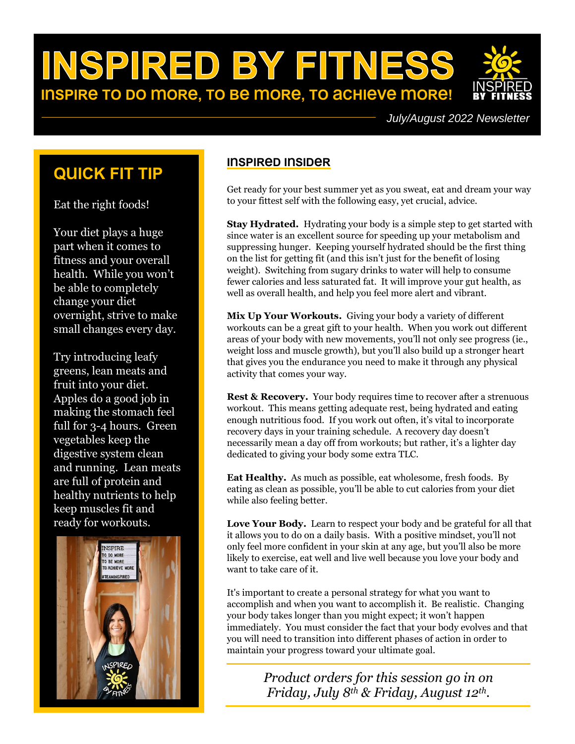# INSPIRED BY FITNESS **INSPIRE TO DO MORE, TO BE MORE, TO ACHIEVE MORE!**

# **QuIck fIt tIp**

Eat the right foods!

Your diet plays a huge part when it comes to fitness and your overall health. While you won't be able to completely change your diet overnight, strive to make small changes every day.

Try introducing leafy greens, lean meats and fruit into your diet. Apples do a good job in making the stomach feel full for 3-4 hours. Green vegetables keep the digestive system clean and running. Lean meats are full of protein and healthy nutrients to help keep muscles fit and ready for workouts.



# **InspIred InsIder**

Get ready for your best summer yet as you sweat, eat and dream your way to your fittest self with the following easy, yet crucial, advice.

**Stay Hydrated.** Hydrating your body is a simple step to get started with since water is an excellent source for speeding up your metabolism and suppressing hunger. Keeping yourself hydrated should be the first thing on the list for getting fit (and this isn't just for the benefit of losing weight). Switching from sugary drinks to water will help to consume fewer calories and less saturated fat. It will improve your gut health, as well as overall health, and help you feel more alert and vibrant.

**Mix Up Your Workouts.** Giving your body a variety of different workouts can be a great gift to your health. When you work out different areas of your body with new movements, you'll not only see progress (ie., weight loss and muscle growth), but you'll also build up a stronger heart that gives you the endurance you need to make it through any physical activity that comes your way.

**Rest & Recovery.** Your body requires time to recover after a strenuous workout. This means getting adequate rest, being hydrated and eating enough nutritious food. If you work out often, it's vital to incorporate recovery days in your training schedule. A recovery day doesn't necessarily mean a day off from workouts; but rather, it's a lighter day dedicated to giving your body some extra TLC.

**Eat Healthy.** As much as possible, eat wholesome, fresh foods. By eating as clean as possible, you'll be able to cut calories from your diet while also feeling better.

**Love Your Body.** Learn to respect your body and be grateful for all that it allows you to do on a daily basis. With a positive mindset, you'll not only feel more confident in your skin at any age, but you'll also be more likely to exercise, eat well and live well because you love your body and want to take care of it.

It's important to create a personal strategy for what you want to accomplish and when you want to accomplish it. Be realistic. Changing your body takes longer than you might expect; it won't happen immediately. You must consider the fact that your body evolves and that you will need to transition into different phases of action in order to maintain your progress toward your ultimate goal.

> *Product orders for this session go in on Friday, July 8th & Friday, August 12th.*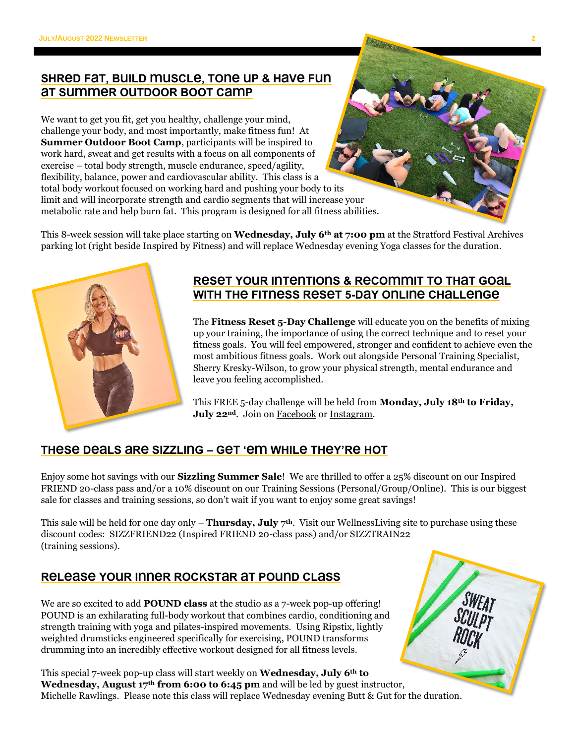## **shred fat, buIld muscle, tone up & have fun at summer outdoor boot camp**

We want to get you fit, get you healthy, challenge your mind, challenge your body, and most importantly, make fitness fun! At **Summer Outdoor Boot Camp**, participants will be inspired to work hard, sweat and get results with a focus on all components of exercise – total body strength, muscle endurance, speed/agility, flexibility, balance, power and cardiovascular ability. This class is a total body workout focused on working hard and pushing your body to its limit and will incorporate strength and cardio segments that will increase your metabolic rate and help burn fat. This program is designed for all fitness abilities.

This 8-week session will take place starting on **Wednesday, July 6th at 7:00 pm** at the Stratford Festival Archives parking lot (right beside Inspired by Fitness) and will replace Wednesday evening Yoga classes for the duration.



## **reset your IntentIons & recommIt to that goal wIth the fItness reset 5-day onlIne challenge**

The **Fitness Reset 5-Day Challenge** will educate you on the benefits of mixing up your training, the importance of using the correct technique and to reset your fitness goals. You will feel empowered, stronger and confident to achieve even the most ambitious fitness goals. Work out alongside Personal Training Specialist, Sherry Kresky-Wilson, to grow your physical strength, mental endurance and leave you feeling accomplished.

This FREE 5-day challenge will be held from **Monday, July 18th to Friday, July 22<sup>nd</sup>**. Join on [Facebook](https://www.facebook.com/inspiredbyfitness.ca/) or [Instagram.](https://www.instagram.com/inspired_by_fitness_studio/)

## **these deals are sIzzlIng – get 'em whIle they're hot**

Enjoy some hot savings with our **Sizzling Summer Sale**! We are thrilled to offer a 25% discount on our Inspired FRIEND 20-class pass and/or a 10% discount on our Training Sessions (Personal/Group/Online). This is our biggest sale for classes and training sessions, so don't wait if you want to enjoy some great savings!

This sale will be held for one day only – **Thursday, July 7th**. Visit our [WellnessLiving](https://www.wellnessliving.com/catalog/inspired_by_fitness) site to purchase using these discount codes: SIZZFRIEND22 (Inspired FRIEND 20-class pass) and/or SIZZTRAIN22 (training sessions).

## **release your Inner rockstar at pound class**

We are so excited to add **POUND class** at the studio as a 7-week pop-up offering! POUND is an exhilarating full-body workout that combines cardio, conditioning and strength training with yoga and pilates-inspired movements. Using Ripstix, lightly weighted drumsticks engineered specifically for exercising, POUND transforms drumming into an incredibly effective workout designed for all fitness levels.

This special 7-week pop-up class will start weekly on **Wednesday, July 6th to Wednesday, August 17th from 6:00 to 6:45 pm** and will be led by guest instructor, Michelle Rawlings. Please note this class will replace Wednesday evening Butt & Gut for the duration.